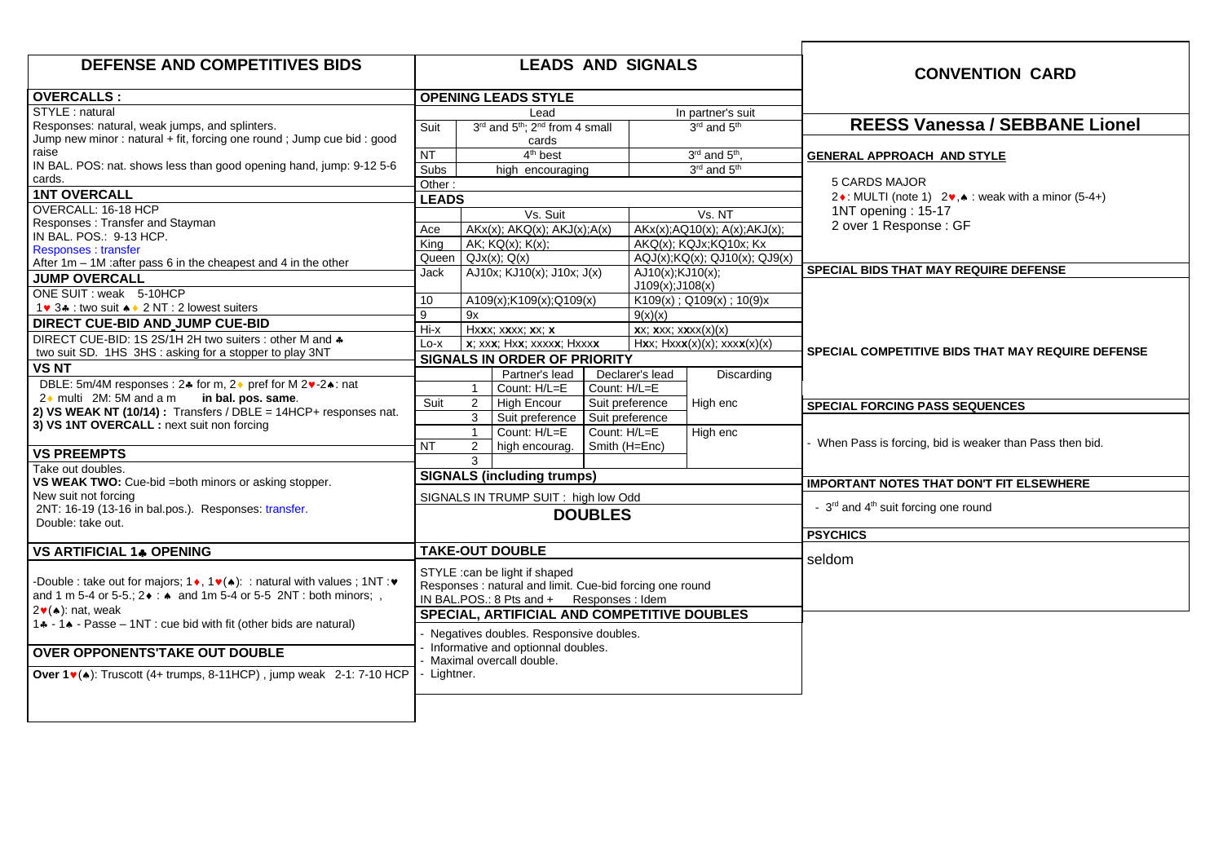| <b>DEFENSE AND COMPETITIVES BIDS</b>                                                                                                                                                                                                     | <b>LEADS AND SIGNALS</b>                                                                                                |                                                                                                                                         |        |                                                                                                                                                                                 |                                             | <b>CONVENTION CARD</b>                                                          |
|------------------------------------------------------------------------------------------------------------------------------------------------------------------------------------------------------------------------------------------|-------------------------------------------------------------------------------------------------------------------------|-----------------------------------------------------------------------------------------------------------------------------------------|--------|---------------------------------------------------------------------------------------------------------------------------------------------------------------------------------|---------------------------------------------|---------------------------------------------------------------------------------|
| OVERCALLS :                                                                                                                                                                                                                              | <b>OPENING LEADS STYLE</b>                                                                                              |                                                                                                                                         |        |                                                                                                                                                                                 |                                             |                                                                                 |
| STYLE : natural                                                                                                                                                                                                                          |                                                                                                                         | Lead                                                                                                                                    |        |                                                                                                                                                                                 | In partner's suit                           |                                                                                 |
| Responses: natural, weak jumps, and splinters.                                                                                                                                                                                           | 3rd and 5 <sup>th</sup> ; 2 <sup>nd</sup> from 4 small<br>Suit                                                          |                                                                                                                                         |        | 3rd and 5 <sup>th</sup>                                                                                                                                                         | <b>REESS Vanessa / SEBBANE Lionel</b>       |                                                                                 |
| Jump new minor : natural + fit, forcing one round ; Jump cue bid : good                                                                                                                                                                  |                                                                                                                         | cards                                                                                                                                   |        |                                                                                                                                                                                 |                                             |                                                                                 |
| raise<br>IN BAL. POS: nat. shows less than good opening hand, jump: 9-12 5-6                                                                                                                                                             | <b>NT</b>                                                                                                               | $4th$ best                                                                                                                              |        |                                                                                                                                                                                 | $3rd$ and $5th$ ,                           | <b>GENERAL APPROACH AND STYLE</b>                                               |
| cards.                                                                                                                                                                                                                                   | Subs                                                                                                                    | high encouraging                                                                                                                        |        |                                                                                                                                                                                 | 3rd and 5 <sup>th</sup>                     |                                                                                 |
| <b>1NT OVERCALL</b>                                                                                                                                                                                                                      | Other:                                                                                                                  |                                                                                                                                         |        |                                                                                                                                                                                 |                                             | <b>5 CARDS MAJOR</b>                                                            |
| OVERCALL: 16-18 HCP                                                                                                                                                                                                                      | <b>LEADS</b>                                                                                                            |                                                                                                                                         |        |                                                                                                                                                                                 |                                             | 2 $\bullet$ : MULTI (note 1) 2 $\bullet$ , $\bullet$ : weak with a minor (5-4+) |
| Responses: Transfer and Stayman                                                                                                                                                                                                          | Vs. Suit                                                                                                                |                                                                                                                                         | Vs. NT |                                                                                                                                                                                 | 1NT opening: 15-17<br>2 over 1 Response: GF |                                                                                 |
| IN BAL. POS.: 9-13 HCP.                                                                                                                                                                                                                  | Ace                                                                                                                     | $AKx(x)$ ; $AKQ(x)$ ; $AKJ(x)$ ; $A(x)$                                                                                                 |        | $AKx(x)$ ; $AQ10(x)$ ; $A(x)$ ; $AKJ(x)$ ;                                                                                                                                      |                                             |                                                                                 |
| <b>Responses:</b> transfer                                                                                                                                                                                                               | King                                                                                                                    | AK; $KO(x)$ ; $K(x)$ ;                                                                                                                  |        |                                                                                                                                                                                 | AKQ(x); KQJx; KQ10x; Kx                     |                                                                                 |
| After $1m - 1M$ : after pass 6 in the cheapest and 4 in the other                                                                                                                                                                        | Queen                                                                                                                   | QJx(x); Q(x)                                                                                                                            |        |                                                                                                                                                                                 | AQJ(x);KQ(x); QJ10(x); QJ9(x)               | SPECIAL BIDS THAT MAY REQUIRE DEFENSE                                           |
| <b>JUMP OVERCALL</b>                                                                                                                                                                                                                     | Jack                                                                                                                    | AJ10x; KJ10(x); J10x; J(x)                                                                                                              |        | AJ10(x); KJ10(x);<br>J109(x); J108(x)                                                                                                                                           |                                             |                                                                                 |
| ONE SUIT: weak 5-10HCP                                                                                                                                                                                                                   | 10                                                                                                                      | A109(x);K109(x);Q109(x)                                                                                                                 |        |                                                                                                                                                                                 | $K109(x)$ ; Q109(x); 10(9)x                 |                                                                                 |
| 1 v 3 ÷ : two suit + + 2 NT : 2 lowest suiters                                                                                                                                                                                           | 9                                                                                                                       | 9x                                                                                                                                      |        | 9(x)(x)                                                                                                                                                                         |                                             |                                                                                 |
| DIRECT CUE-BID AND JUMP CUE-BID                                                                                                                                                                                                          | $Hi - x$                                                                                                                | Hxxx; xxxx; xx; x                                                                                                                       |        | $\mathbf{X}$ X; $\mathbf{X}$ XX; $\mathbf{X}$ $\mathbf{X}$ $\mathbf{X}$ $\mathbf{X}$ $\mathbf{X}$ $\mathbf{X}$ $\mathbf{X}$ $\mathbf{X}$ $\mathbf{X}$ $\mathbf{X}$ $\mathbf{X}$ |                                             |                                                                                 |
| DIRECT CUE-BID: 1S 2S/1H 2H two suiters : other M and $\clubsuit$                                                                                                                                                                        | $Lo-x$                                                                                                                  | x; xxx; Hxx; xxxxx; Hxxxx                                                                                                               |        |                                                                                                                                                                                 | $Hxx$ ; $Hxxx(x)(x)$ ; $xxx(x)(x)$          |                                                                                 |
| two suit SD. 1HS 3HS: asking for a stopper to play 3NT                                                                                                                                                                                   |                                                                                                                         | <b>SIGNALS IN ORDER OF PRIORITY</b>                                                                                                     |        |                                                                                                                                                                                 |                                             | <b>SPECIAL COMPETITIVE BIDS THAT MAY REQUIRE DEFENSE</b>                        |
| <b>VSNT</b>                                                                                                                                                                                                                              |                                                                                                                         | Partner's lead                                                                                                                          |        | Declarer's lead                                                                                                                                                                 | Discarding                                  |                                                                                 |
| DBLE: 5m/4M responses : 2.4 for m, 2. pref for M 2. + 2. cat                                                                                                                                                                             |                                                                                                                         | Count: H/L=E<br>$\mathbf{1}$                                                                                                            |        | Count: H/L=E                                                                                                                                                                    |                                             |                                                                                 |
| $2 \cdot$ multi 2M: 5M and a m<br>in bal. pos. same.                                                                                                                                                                                     | Suit                                                                                                                    | High Encour<br>2                                                                                                                        |        | Suit preference                                                                                                                                                                 | High enc                                    | <b>SPECIAL FORCING PASS SEQUENCES</b>                                           |
| 2) VS WEAK NT (10/14) : Transfers / $DBLE = 14HCP +$ responses nat.                                                                                                                                                                      |                                                                                                                         | 3<br>Suit preference                                                                                                                    |        | Suit preference                                                                                                                                                                 |                                             |                                                                                 |
| 3) VS 1NT OVERCALL : next suit non forcing                                                                                                                                                                                               |                                                                                                                         | $\mathbf{1}$<br>Count: H/L=E                                                                                                            |        | Count: H/L=E                                                                                                                                                                    | High enc                                    |                                                                                 |
|                                                                                                                                                                                                                                          | <b>NT</b>                                                                                                               | $\overline{2}$<br>high encourag.                                                                                                        |        | Smith (H=Enc)                                                                                                                                                                   |                                             | - When Pass is forcing, bid is weaker than Pass then bid.                       |
| <b>VS PREEMPTS</b>                                                                                                                                                                                                                       |                                                                                                                         | 3                                                                                                                                       |        |                                                                                                                                                                                 |                                             |                                                                                 |
| Take out doubles.<br>VS WEAK TWO: Cue-bid =both minors or asking stopper.                                                                                                                                                                | <b>SIGNALS (including trumps)</b>                                                                                       |                                                                                                                                         |        |                                                                                                                                                                                 |                                             | <b>IMPORTANT NOTES THAT DON'T FIT ELSEWHERE</b>                                 |
| New suit not forcing                                                                                                                                                                                                                     |                                                                                                                         |                                                                                                                                         |        |                                                                                                                                                                                 |                                             |                                                                                 |
| 2NT: 16-19 (13-16 in bal.pos.). Responses: transfer.                                                                                                                                                                                     |                                                                                                                         | SIGNALS IN TRUMP SUIT: high low Odd<br><b>DOUBLES</b>                                                                                   |        |                                                                                                                                                                                 |                                             | - 3 <sup>rd</sup> and 4 <sup>th</sup> suit forcing one round                    |
| Double: take out.                                                                                                                                                                                                                        |                                                                                                                         |                                                                                                                                         |        |                                                                                                                                                                                 |                                             |                                                                                 |
|                                                                                                                                                                                                                                          |                                                                                                                         |                                                                                                                                         |        |                                                                                                                                                                                 |                                             | <b>PSYCHICS</b>                                                                 |
| <b>VS ARTIFICIAL 14 OPENING</b>                                                                                                                                                                                                          | <b>TAKE-OUT DOUBLE</b>                                                                                                  |                                                                                                                                         |        |                                                                                                                                                                                 |                                             |                                                                                 |
| -Double : take out for majors; $1 \cdot 1 \cdot 1 \cdot 2$ : natural with values; $1NT : v$<br>and 1 m 5-4 or 5-5.; $2 \cdot : \bullet$ and 1m 5-4 or 5-5 2NT : both minors; ,<br>$2\blacktriangleright$ ( $\blacktriangle$ ): nat. weak |                                                                                                                         | STYLE : can be light if shaped<br>Responses : natural and limit. Cue-bid forcing one round<br>IN BAL.POS.: 8 Pts and + Responses : Idem |        |                                                                                                                                                                                 |                                             | seldom                                                                          |
| 1.4 - 1.4 - Passe - 1NT : cue bid with fit (other bids are natural)                                                                                                                                                                      | SPECIAL, ARTIFICIAL AND COMPETITIVE DOUBLES                                                                             |                                                                                                                                         |        |                                                                                                                                                                                 |                                             |                                                                                 |
| <b>OVER OPPONENTS'TAKE OUT DOUBLE</b><br>Over 1 v( $\bullet$ ): Truscott (4+ trumps, 8-11HCP), jump weak 2-1: 7-10 HCP                                                                                                                   | Negatives doubles. Responsive doubles.<br>- Informative and optionnal doubles.<br>Maximal overcall double.<br>Lightner. |                                                                                                                                         |        |                                                                                                                                                                                 |                                             |                                                                                 |
|                                                                                                                                                                                                                                          |                                                                                                                         |                                                                                                                                         |        |                                                                                                                                                                                 |                                             |                                                                                 |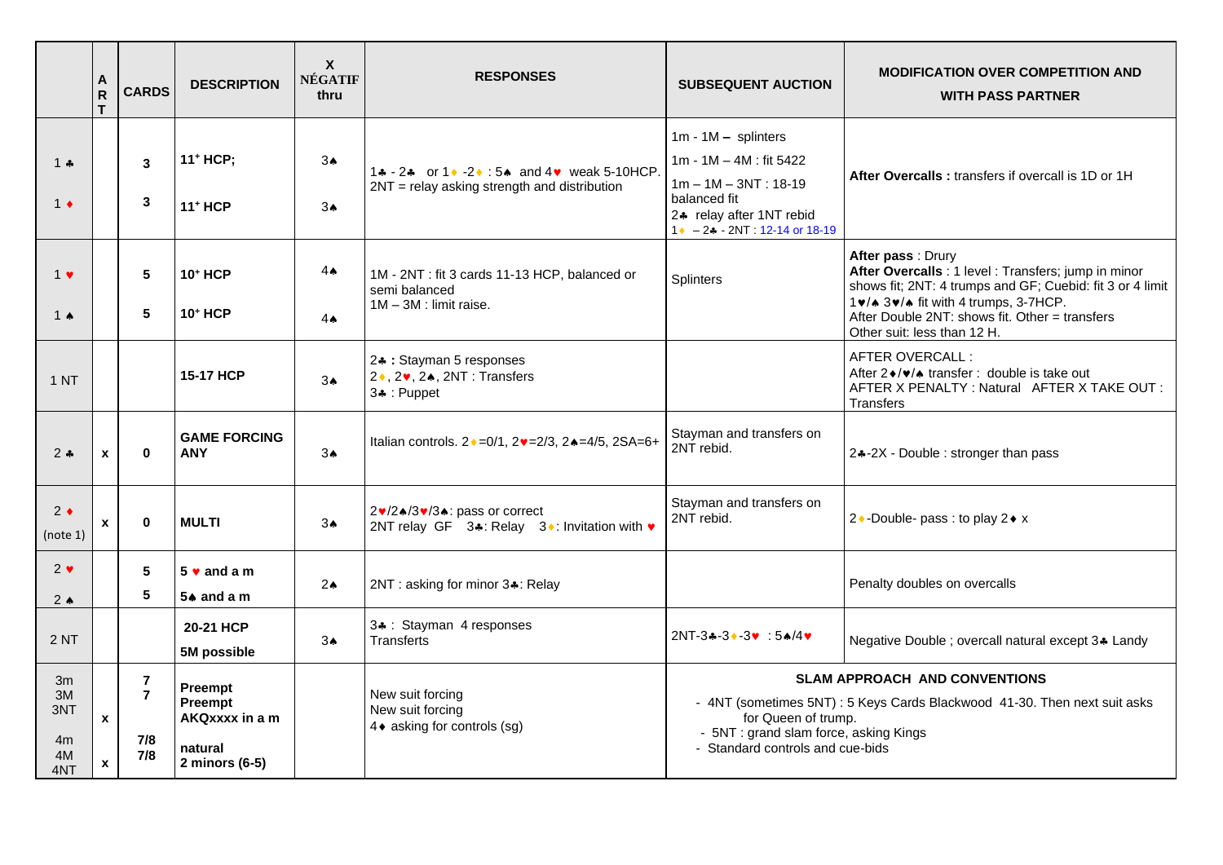|                                    | A<br>${\sf R}$<br>T. | <b>CARDS</b>                                   | <b>DESCRIPTION</b>                                                | $\boldsymbol{X}$<br><b>NÉGATIF</b><br>thru | <b>RESPONSES</b>                                                                                  | <b>SUBSEQUENT AUCTION</b>                                                                                                                                              | <b>MODIFICATION OVER COMPETITION AND</b><br><b>WITH PASS PARTNER</b>                                                                                                                                                                                             |
|------------------------------------|----------------------|------------------------------------------------|-------------------------------------------------------------------|--------------------------------------------|---------------------------------------------------------------------------------------------------|------------------------------------------------------------------------------------------------------------------------------------------------------------------------|------------------------------------------------------------------------------------------------------------------------------------------------------------------------------------------------------------------------------------------------------------------|
| 1 $\clubsuit$<br>$1 \bullet$       |                      | 3<br>3                                         | 11 <sup>+</sup> HCP;<br><b>11+ HCP</b>                            | 3 <sub>•</sub><br>$3\spadesuit$            | 14 - 24 or 1 + - 2 + : 5 + and 4 v weak 5-10 HCP.<br>2NT = relay asking strength and distribution | $1m - 1M - splinters$<br>$1m - 1M - 4M$ : fit 5422<br>$1m - 1M - 3NT : 18-19$<br>balanced fit<br>24 relay after 1NT rebid<br>$1 \cdot -2 \cdot 2NT : 12 - 14$ or 18-19 | After Overcalls: transfers if overcall is 1D or 1H                                                                                                                                                                                                               |
| $1 \cdot$<br>1 $\triangle$         |                      | $5\phantom{.0}$<br>5                           | <b>10+ HCP</b><br><b>10+ HCP</b>                                  | $4 \spadesuit$<br>$4 \spadesuit$           | 1M - 2NT : fit 3 cards 11-13 HCP, balanced or<br>semi balanced<br>$1M - 3M$ : limit raise.        | <b>Splinters</b>                                                                                                                                                       | After pass : Drury<br>After Overcalls : 1 level : Transfers; jump in minor<br>shows fit; 2NT: 4 trumps and GF; Cuebid: fit 3 or 4 limit<br>1v/* 3v/* fit with 4 trumps, 3-7HCP.<br>After Double 2NT: shows fit. Other = transfers<br>Other suit: less than 12 H. |
| 1 N <sub>T</sub>                   |                      |                                                | <b>15-17 HCP</b>                                                  | 3 <sub>•</sub>                             | 24 : Stayman 5 responses<br>2 ♦, 2 •, 2 •, 2 11 : Transfers<br>3+: Puppet                         |                                                                                                                                                                        | AFTER OVERCALL:<br>After 2 ♦/♥/▲ transfer : double is take out<br>AFTER X PENALTY: Natural AFTER X TAKE OUT:<br><b>Transfers</b>                                                                                                                                 |
| $2 +$                              | $\mathbf{x}$         | $\mathbf{0}$                                   | <b>GAME FORCING</b><br><b>ANY</b>                                 | 3 <sub>•</sub>                             | Italian controls. 2 · = 0/1, 2 · = 2/3, 2 · = 4/5, 2SA=6+                                         | Stayman and transfers on<br>2NT rebid.                                                                                                                                 | 24-2X - Double : stronger than pass                                                                                                                                                                                                                              |
| $2 \bullet$<br>(note 1)            | x                    | $\mathbf{0}$                                   | <b>MULTI</b>                                                      | $3*$                                       | 2v/2▲/3v/3▲: pass or correct<br>2NT relay GF 3.4: Relay 3. t Invitation with v                    | Stayman and transfers on<br>2NT rebid.                                                                                                                                 | 2 • -Double- pass : to play 2 • x                                                                                                                                                                                                                                |
| $2 \cdot$<br>$2 \triangleleft$     |                      | $5\phantom{.0}$<br>5                           | $5 \vee$ and a m<br>$5*$ and a m                                  | $2\spadesuit$                              | 2NT: asking for minor 3.: Relay                                                                   |                                                                                                                                                                        | Penalty doubles on overcalls                                                                                                                                                                                                                                     |
| 2NT                                |                      |                                                | 20-21 HCP<br>5M possible                                          | 3 <sub>A</sub>                             | 34 : Stayman 4 responses<br><b>Transferts</b>                                                     | $2NT-3*-3*-3* : 5*/4*$                                                                                                                                                 | Negative Double ; overcall natural except 3.4 Landy                                                                                                                                                                                                              |
| 3m<br>3M<br>3NT<br>4m<br>4M<br>4NT | $\mathbf{x}$<br>X    | $\overline{7}$<br>$\overline{7}$<br>7/8<br>7/8 | Preempt<br>Preempt<br>AKQxxxx in a m<br>natural<br>2 minors (6-5) |                                            | New suit forcing<br>New suit forcing<br>4 ♦ asking for controls (sg)                              | for Queen of trump.<br>- 5NT : grand slam force, asking Kings<br>- Standard controls and cue-bids                                                                      | <b>SLAM APPROACH AND CONVENTIONS</b><br>- 4NT (sometimes 5NT) : 5 Keys Cards Blackwood 41-30. Then next suit asks                                                                                                                                                |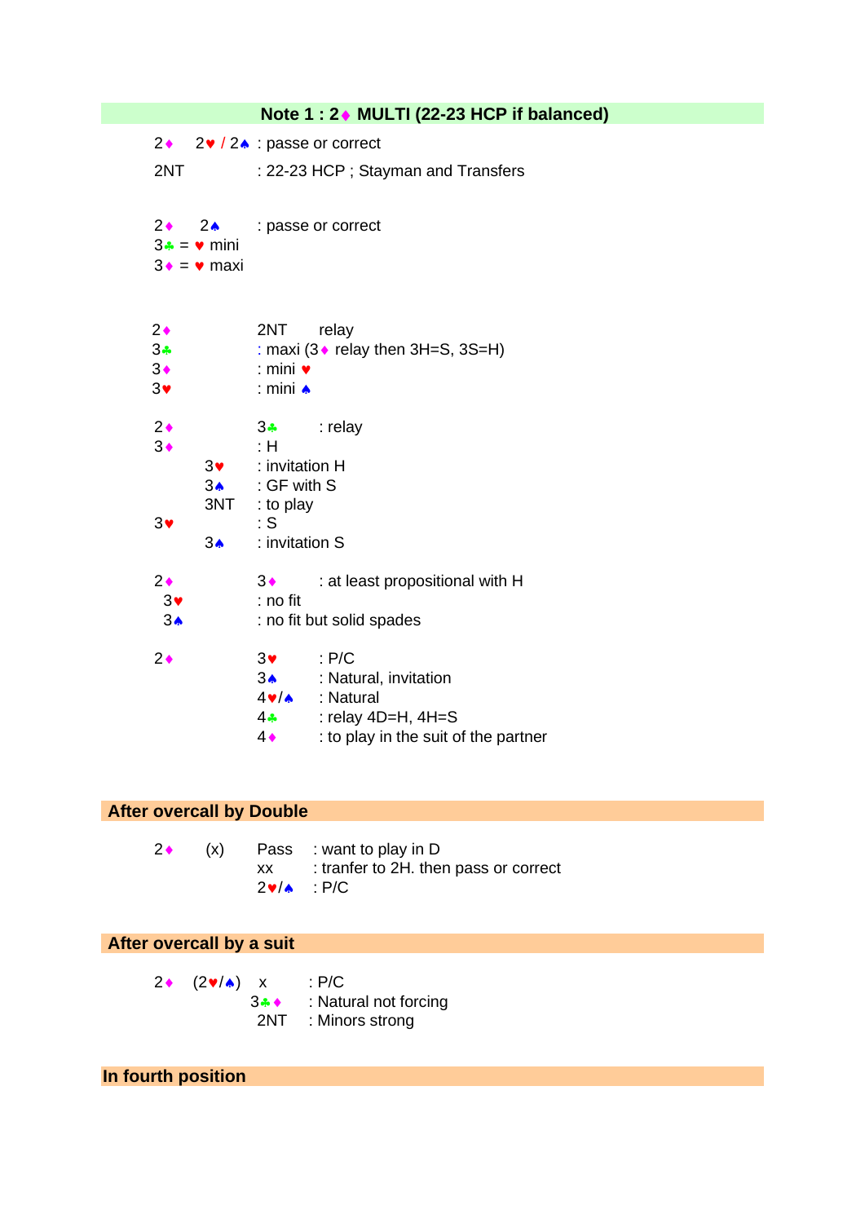|                                                      |                                                                            |                                                                                                | Note 1 : 2♦ MULTI (22-23 HCP if balanced)                                                                                              |
|------------------------------------------------------|----------------------------------------------------------------------------|------------------------------------------------------------------------------------------------|----------------------------------------------------------------------------------------------------------------------------------------|
| $2\bullet$                                           |                                                                            |                                                                                                | $2 \cdot 2 \cdot 2$ : passe or correct                                                                                                 |
| 2NT                                                  |                                                                            |                                                                                                | : 22-23 HCP; Stayman and Transfers                                                                                                     |
|                                                      | $2\bullet$ $2\bullet$<br>$3\cdot = \bullet$ mini<br>$3 \cdot = \cdot$ maxi |                                                                                                | : passe or correct                                                                                                                     |
| $2\bullet$<br>$3\bullet$<br>$3\bullet$<br>$3\bullet$ |                                                                            | 2NT<br>$:$ mini $\bullet$<br>: mini ▲                                                          | relay<br>: maxi (3 • relay then 3H=S, 3S=H)                                                                                            |
| $2\bullet$<br>$3\bullet$<br>$3\bullet$               | $3\bullet$<br>$3\spadesuit$<br>$3\spadesuit$                               | $3 - 3$<br>:H<br>: invitation H<br>: GF with S<br>3NT : to play<br>$\cdot$ S<br>: invitation S | : relay                                                                                                                                |
| $2\bullet$<br>$3\bullet$<br>3 <sub>•</sub>           |                                                                            | 3♦<br>: no fit                                                                                 | : at least propositional with H<br>: no fit but solid spades                                                                           |
| $2\bullet$                                           |                                                                            | $3\bullet$ : P/C<br>$4 - 4$<br>$4\bullet$                                                      | 34 : Natural, invitation<br>4v/<br><b>Av/&gt; Audio</b> information<br>: relay $4D=H$ , $4H=S$<br>: to play in the suit of the partner |

## **After overcall by Double**

|  | $2 \leftarrow (x)$ Pass : want to play in D |
|--|---------------------------------------------|
|  | $xx$ : tranfer to 2H. then pass or correct  |
|  | $2\vee\wedge\cdots P/C$                     |

## **After overcall by a suit**

2 (2 $\mathbf{v}/\mathbf{A}$ ) x : P/C<br>3.4 : Natu : Natural not forcing 2NT : Minors strong

## **In fourth position**